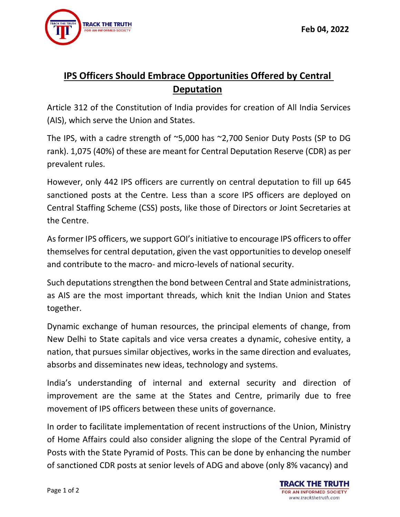## **IPS Officers Should Embrace Opportunities Offered by Central Deputation**

Article 312 of the Constitution of India provides for creation of All India Services (AIS), which serve the Union and States.

The IPS, with a cadre strength of ~5,000 has ~2,700 Senior Duty Posts (SP to DG rank). 1,075 (40%) of these are meant for Central Deputation Reserve (CDR) as per prevalent rules.

However, only 442 IPS officers are currently on central deputation to fill up 645 sanctioned posts at the Centre. Less than a score IPS officers are deployed on Central Staffing Scheme (CSS) posts, like those of Directors or Joint Secretaries at the Centre.

As former IPS officers, we support GOI's initiative to encourage IPS officers to offer themselves for central deputation, given the vast opportunities to develop oneself and contribute to the macro- and micro-levels of national security.

Such deputations strengthen the bond between Central and State administrations, as AIS are the most important threads, which knit the Indian Union and States together.

Dynamic exchange of human resources, the principal elements of change, from New Delhi to State capitals and vice versa creates a dynamic, cohesive entity, a nation, that pursues similar objectives, works in the same direction and evaluates, absorbs and disseminates new ideas, technology and systems.

India's understanding of internal and external security and direction of improvement are the same at the States and Centre, primarily due to free movement of IPS officers between these units of governance.

In order to facilitate implementation of recent instructions of the Union, Ministry of Home Affairs could also consider aligning the slope of the Central Pyramid of Posts with the State Pyramid of Posts. This can be done by enhancing the number of sanctioned CDR posts at senior levels of ADG and above (only 8% vacancy) and